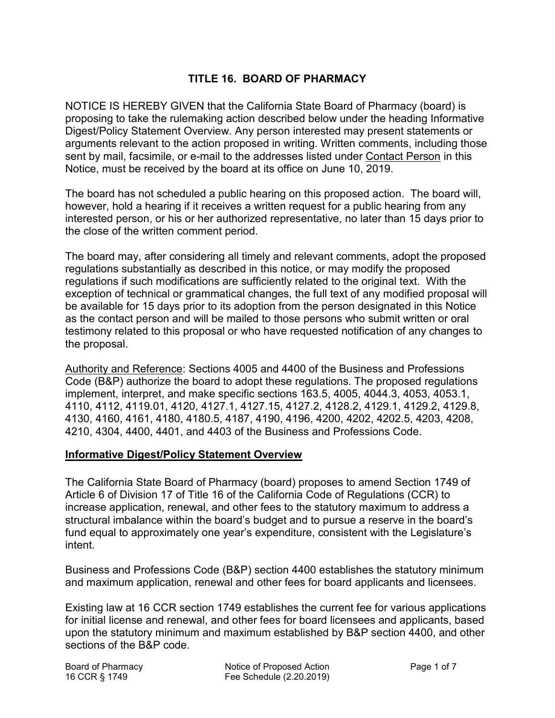# **TITLE 16. BOARD OF PHARMACY**

 Digest/Policy Statement Overview. Any person interested may present statements or sent by mail, facsimile, or e-mail to the addresses listed under <u>Contact Person</u> in this Notice, must be received by the board at its office on June 10, 2019. NOTICE IS HEREBY GIVEN that the California State Board of Pharmacy (board) is proposing to take the rulemaking action described below under the heading Informative arguments relevant to the action proposed in writing. Written comments, including those

 The board has not scheduled a public hearing on this proposed action. The board will, however, hold a hearing if it receives a written request for a public hearing from any interested person, or his or her authorized representative, no later than 15 days prior to the close of the written comment period.

 regulations substantially as described in this notice, or may modify the proposed regulations if such modifications are sufficiently related to the original text. With the The board may, after considering all timely and relevant comments, adopt the proposed exception of technical or grammatical changes, the full text of any modified proposal will be available for 15 days prior to its adoption from the person designated in this Notice as the contact person and will be mailed to those persons who submit written or oral testimony related to this proposal or who have requested notification of any changes to the proposal.

 Authority and Reference: Sections 4005 and 4400 of the Business and Professions Code (B&P) authorize the board to adopt these regulations. The proposed regulations 4130, 4160, 4161, 4180, 4180.5, 4187, 4190, 4196, 4200, 4202, 4202.5, 4203, 4208, implement, interpret, and make specific sections 163.5, 4005, 4044.3, 4053, 4053.1, 4110, 4112, 4119.01, 4120, 4127.1, 4127.15, 4127.2, 4128.2, 4129.1, 4129.2, 4129.8, 4210, 4304, 4400, 4401, and 4403 of the Business and Professions Code.

### **Informative Digest/Policy Statement Overview**

 The California State Board of Pharmacy (board) proposes to amend Section 1749 of increase application, renewal, and other fees to the statutory maximum to address a Article 6 of Division 17 of Title 16 of the California Code of Regulations (CCR) to structural imbalance within the board's budget and to pursue a reserve in the board's fund equal to approximately one year's expenditure, consistent with the Legislature's intent.

 and maximum application, renewal and other fees for board applicants and licensees. Business and Professions Code (B&P) section 4400 establishes the statutory minimum

 Existing law at 16 CCR section 1749 establishes the current fee for various applications for initial license and renewal, and other fees for board licensees and applicants, based sections of the B&P code. upon the statutory minimum and maximum established by B&P section 4400, and other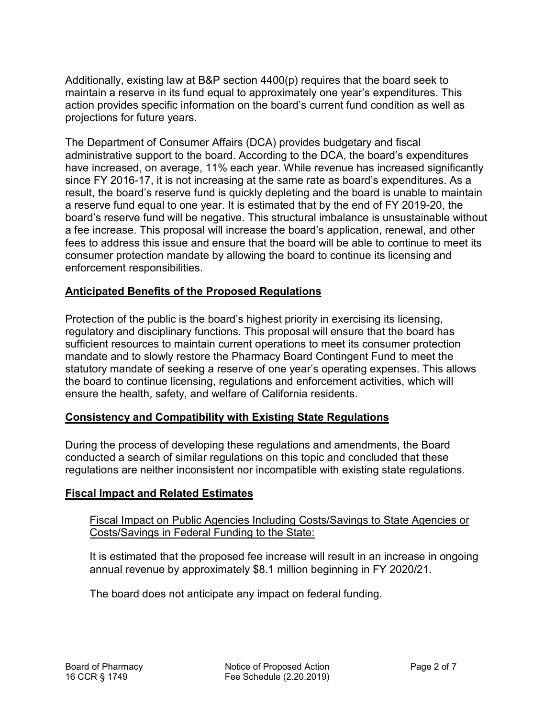Additionally, existing law at B&P section 4400(p) requires that the board seek to projections for future years. maintain a reserve in its fund equal to approximately one year's expenditures. This action provides specific information on the board's current fund condition as well as

The Department of Consumer Affairs (DCA) provides budgetary and fiscal administrative support to the board. According to the DCA, the board's expenditures have increased, on average, 11% each year. While revenue has increased significantly since FY 2016-17, it is not increasing at the same rate as board's expenditures. As a result, the board's reserve fund is quickly depleting and the board is unable to maintain a reserve fund equal to one year. It is estimated that by the end of FY 2019-20, the board's reserve fund will be negative. This structural imbalance is unsustainable without a fee increase. This proposal will increase the board's application, renewal, and other fees to address this issue and ensure that the board will be able to continue to meet its consumer protection mandate by allowing the board to continue its licensing and enforcement responsibilities.

## **Anticipated Benefits of the Proposed Regulations**

Protection of the public is the board's highest priority in exercising its licensing, regulatory and disciplinary functions. This proposal will ensure that the board has sufficient resources to maintain current operations to meet its consumer protection mandate and to slowly restore the Pharmacy Board Contingent Fund to meet the statutory mandate of seeking a reserve of one year's operating expenses. This allows the board to continue licensing, regulations and enforcement activities, which will ensure the health, safety, and welfare of California residents.

## **Consistency and Compatibility with Existing State Regulations**

During the process of developing these regulations and amendments, the Board conducted a search of similar regulations on this topic and concluded that these regulations are neither inconsistent nor incompatible with existing state regulations.

### **Fiscal Impact and Related Estimates**

### Fiscal Impact on Public Agencies Including Costs/Savings to State Agencies or Costs/Savings in Federal Funding to the State:

It is estimated that the proposed fee increase will result in an increase in ongoing annual revenue by approximately \$8.1 million beginning in FY 2020/21.

The board does not anticipate any impact on federal funding.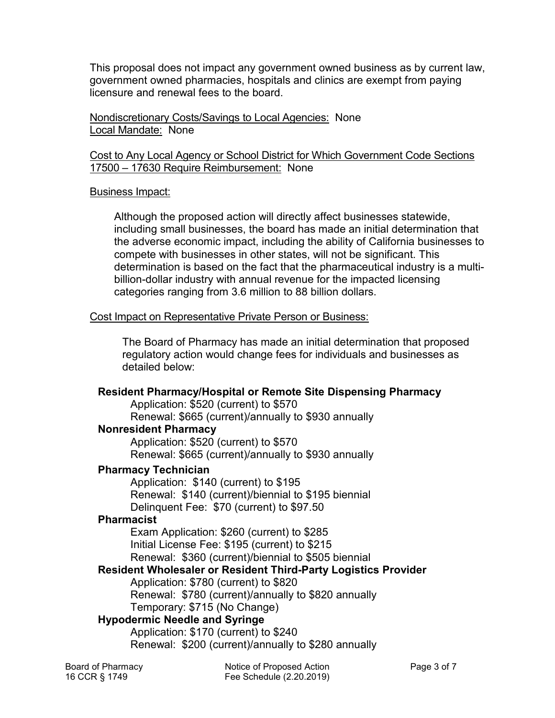This proposal does not impact any government owned business as by current law, government owned pharmacies, hospitals and clinics are exempt from paying licensure and renewal fees to the board.

 Nondiscretionary Costs/Savings to Local Agencies: None Local Mandate: None

#### Cost to Any Local Agency or School District for Which Government Code Sections 17500 – 17630 Require Reimbursement: None

### Business Impact:

 compete with businesses in other states, will not be significant. This Although the proposed action will directly affect businesses statewide, including small businesses, the board has made an initial determination that the adverse economic impact, including the ability of California businesses to determination is based on the fact that the pharmaceutical industry is a multibillion-dollar industry with annual revenue for the impacted licensing categories ranging from 3.6 million to 88 billion dollars.

### Cost Impact on Representative Private Person or Business:

 regulatory action would change fees for individuals and businesses as The Board of Pharmacy has made an initial determination that proposed detailed below:

## **Resident Pharmacy/Hospital or Remote Site Dispensing Pharmacy**

Application: \$520 (current) to \$570

Renewal: \$665 (current)/annually to \$930 annually

## **Nonresident Pharmacy**

 Renewal: \$665 (current)/annually to \$930 annually Application: \$520 (current) to \$570

### **Pharmacy Technician**

 Application: \$140 (current) to \$195 Renewal: \$140 (current)/biennial to \$195 biennial Delinquent Fee: \$70 (current) to \$97.50

### **Pharmacist**

Exam Application: \$260 (current) to \$285 Initial License Fee: \$195 (current) to \$215 Renewal: \$360 (current)/biennial to \$505 biennial

## **Resident Wholesaler or Resident Third-Party Logistics Provider**

Application: \$780 (current) to \$820

Renewal: \$780 (current)/annually to \$820 annually

Temporary: \$715 (No Change)

## **Hypodermic Needle and Syringe**

 Renewal: \$200 (current)/annually to \$280 annually Application: \$170 (current) to \$240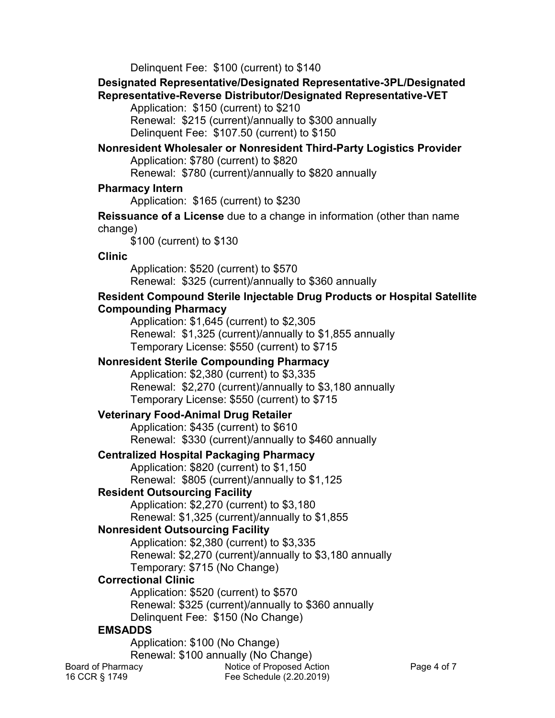Delinquent Fee: \$100 (current) to \$140

## **Designated Representative/Designated Representative-3PL/Designated Representative-Reverse Distributor/Designated Representative-VET**

 Application: \$150 (current) to \$210 Renewal: \$215 (current)/annually to \$300 annually

Delinquent Fee: \$107.50 (current) to \$150

#### **Nonresident Wholesaler or Nonresident Third-Party Logistics Provider** Application: \$780 (current) to \$820

Renewal: \$780 (current)/annually to \$820 annually

# **Pharmacy Intern**

Application: \$165 (current) to \$230

### **Reissuance of a License** due to a change in information (other than name change)

\$100 (current) to \$130

# **Clinic**

Application: \$520 (current) to \$570 Application: \$520 (current) to \$570<br>Renewal: \$325 (current)/annually to \$360 annually

# **Resident Compound Sterile Injectable Drug Products or Hospital Satellite Compounding Pharmacy**

 Renewal: \$1,325 (current)/annually to \$1,855 annually Application: \$1,645 (current) to \$2,305 Temporary License: \$550 (current) to \$715

# **Nonresident Sterile Compounding Pharmacy**

Application: \$2,380 (current) to \$3,335 Renewal: \$2,270 (current)/annually to \$3,180 annually Temporary License: \$550 (current) to \$715

# **Veterinary Food-Animal Drug Retailer**

 Renewal: \$330 (current)/annually to \$460 annually Application: \$435 (current) to \$610

# **Centralized Hospital Packaging Pharmacy**

 Renewal: \$805 (current)/annually to \$1,125 Application: \$820 (current) to \$1,150

# **Resident Outsourcing Facility**

Application: \$2,270 (current) to \$3,180 Renewal: \$1,325 (current)/annually to \$1,855

# **Nonresident Outsourcing Facility**

 Renewal: \$2,270 (current)/annually to \$3,180 annually Application: \$2,380 (current) to \$3,335

Temporary: \$715 (No Change)

# **Correctional Clinic**

 Delinquent Fee: \$150 (No Change) Application: \$520 (current) to \$570 Renewal: \$325 (current)/annually to \$360 annually

# **EMSADDS**

Application: \$100 (No Change) Renewal: \$100 annually (No Change) Board of Pharmacy **Example 2** Notice of Proposed Action **Page 4 of 7** 16 CCR § 1749 Fee Schedule (2.20.2019)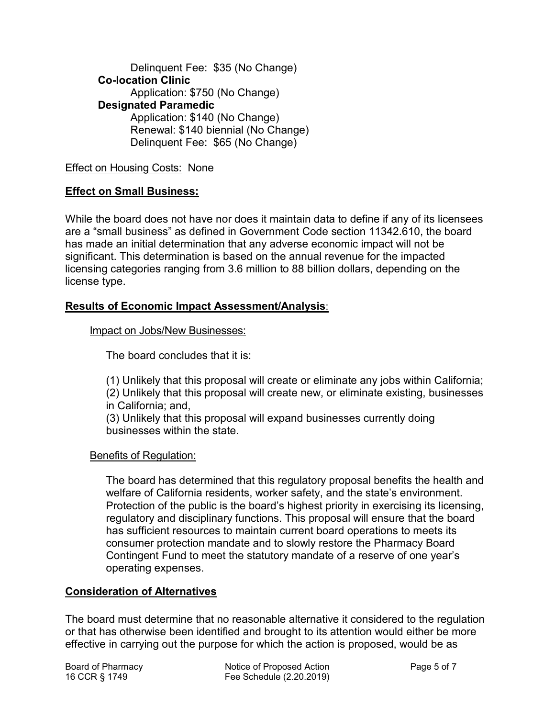Delinquent Fee: \$35 (No Change) Delinquent Fee: \$65 (No Change) **Co-location Clinic**  Application: \$750 (No Change) **Designated Paramedic** Application: \$140 (No Change) Renewal: \$140 biennial (No Change)

### Effect on Housing Costs: None

### **Effect on Small Business:**

 significant. This determination is based on the annual revenue for the impacted While the board does not have nor does it maintain data to define if any of its licensees are a "small business" as defined in Government Code section 11342.610, the board has made an initial determination that any adverse economic impact will not be licensing categories ranging from 3.6 million to 88 billion dollars, depending on the license type.

### **Results of Economic Impact Assessment/Analysis**:

#### Impact on Jobs/New Businesses:

The board concludes that it is:

 in California; and, (1) Unlikely that this proposal will create or eliminate any jobs within California; (2) Unlikely that this proposal will create new, or eliminate existing, businesses

(3) Unlikely that this proposal will expand businesses currently doing businesses within the state.

### Benefits of Regulation:

 operating expenses. The board has determined that this regulatory proposal benefits the health and welfare of California residents, worker safety, and the state's environment. Protection of the public is the board's highest priority in exercising its licensing, regulatory and disciplinary functions. This proposal will ensure that the board has sufficient resources to maintain current board operations to meets its consumer protection mandate and to slowly restore the Pharmacy Board Contingent Fund to meet the statutory mandate of a reserve of one year's

### **Consideration of Alternatives**

The board must determine that no reasonable alternative it considered to the regulation or that has otherwise been identified and brought to its attention would either be more effective in carrying out the purpose for which the action is proposed, would be as

Board of Pharmacy **Notice of Proposed Action** Page 5 of 7 16 CCR § 1749 Fee Schedule (2.20.2019)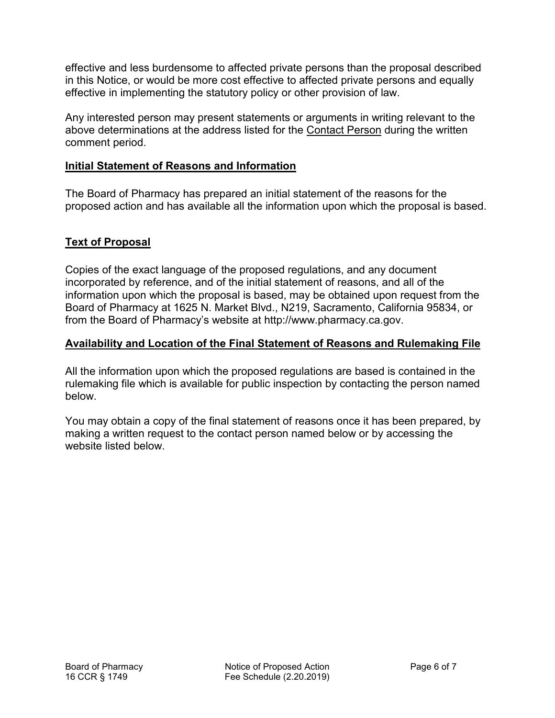effective and less burdensome to affected private persons than the proposal described in this Notice, or would be more cost effective to affected private persons and equally effective in implementing the statutory policy or other provision of law.

Any interested person may present statements or arguments in writing relevant to the above determinations at the address listed for the Contact Person during the written comment period.

### **Initial Statement of Reasons and Information**

 The Board of Pharmacy has prepared an initial statement of the reasons for the proposed action and has available all the information upon which the proposal is based.

# **Text of Proposal**

 incorporated by reference, and of the initial statement of reasons, and all of the information upon which the proposal is based, may be obtained upon request from the Board of Pharmacy at 1625 N. Market Blvd., N219, Sacramento, California 95834, or Copies of the exact language of the proposed regulations, and any document from the Board of Pharmacy's website at <http://www.pharmacy.ca.gov>.

## **Availability and Location of the Final Statement of Reasons and Rulemaking File**

All the information upon which the proposed regulations are based is contained in the rulemaking file which is available for public inspection by contacting the person named below.

 You may obtain a copy of the final statement of reasons once it has been prepared, by making a written request to the contact person named below or by accessing the website listed below.